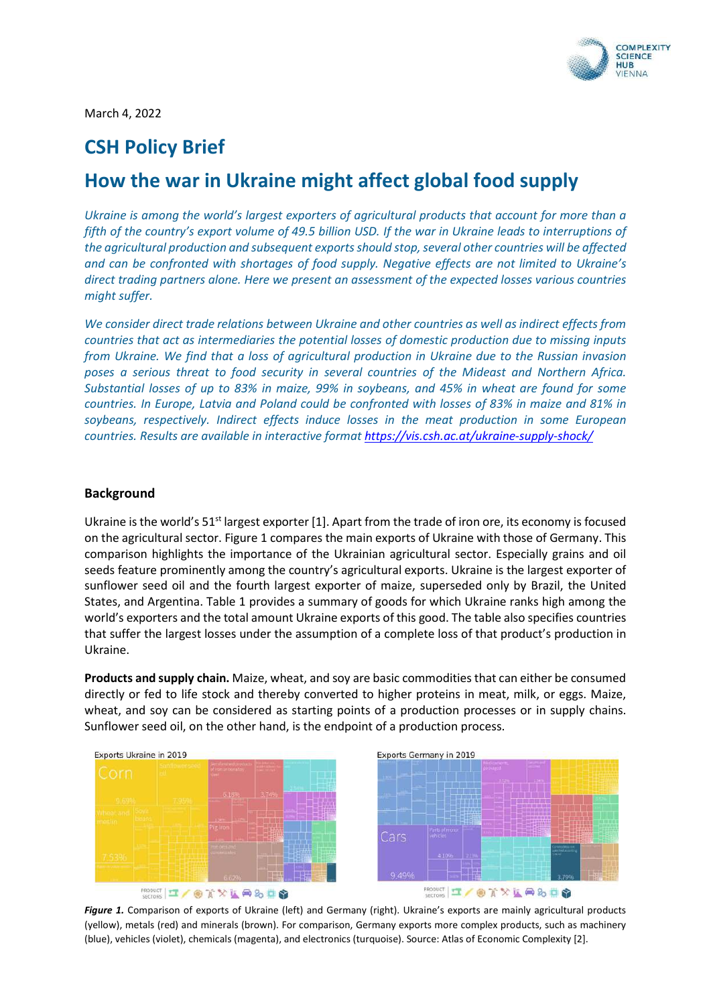

March 4, 2022

# CSH Policy Brief

# How the war in Ukraine might affect global food supply

Ukraine is among the world's largest exporters of agricultural products that account for more than a fifth of the country's export volume of 49.5 billion USD. If the war in Ukraine leads to interruptions of the agricultural production and subsequent exports should stop, several other countries will be affected and can be confronted with shortages of food supply. Negative effects are not limited to Ukraine's direct trading partners alone. Here we present an assessment of the expected losses various countries might suffer.

We consider direct trade relations between Ukraine and other countries as well as indirect effects from countries that act as intermediaries the potential losses of domestic production due to missing inputs from Ukraine. We find that a loss of agricultural production in Ukraine due to the Russian invasion poses a serious threat to food security in several countries of the Mideast and Northern Africa. Substantial losses of up to 83% in maize, 99% in soybeans, and 45% in wheat are found for some countries. In Europe, Latvia and Poland could be confronted with losses of 83% in maize and 81% in soybeans, respectively. Indirect effects induce losses in the meat production in some European countries. Results are available in interactive format https://vis.csh.ac.at/ukraine-supply-shock/

## Background

Ukraine is the world's  $51^{st}$  largest exporter [1]. Apart from the trade of iron ore, its economy is focused on the agricultural sector. Figure 1 compares the main exports of Ukraine with those of Germany. This comparison highlights the importance of the Ukrainian agricultural sector. Especially grains and oil seeds feature prominently among the country's agricultural exports. Ukraine is the largest exporter of sunflower seed oil and the fourth largest exporter of maize, superseded only by Brazil, the United States, and Argentina. Table 1 provides a summary of goods for which Ukraine ranks high among the world's exporters and the total amount Ukraine exports of this good. The table also specifies countries that suffer the largest losses under the assumption of a complete loss of that product's production in Ukraine.

Products and supply chain. Maize, wheat, and soy are basic commodities that can either be consumed directly or fed to life stock and thereby converted to higher proteins in meat, milk, or eggs. Maize, wheat, and soy can be considered as starting points of a production processes or in supply chains. Sunflower seed oil, on the other hand, is the endpoint of a production process.



Figure 1. Comparison of exports of Ukraine (left) and Germany (right). Ukraine's exports are mainly agricultural products (yellow), metals (red) and minerals (brown). For comparison, Germany exports more complex products, such as machinery (blue), vehicles (violet), chemicals (magenta), and electronics (turquoise). Source: Atlas of Economic Complexity [2].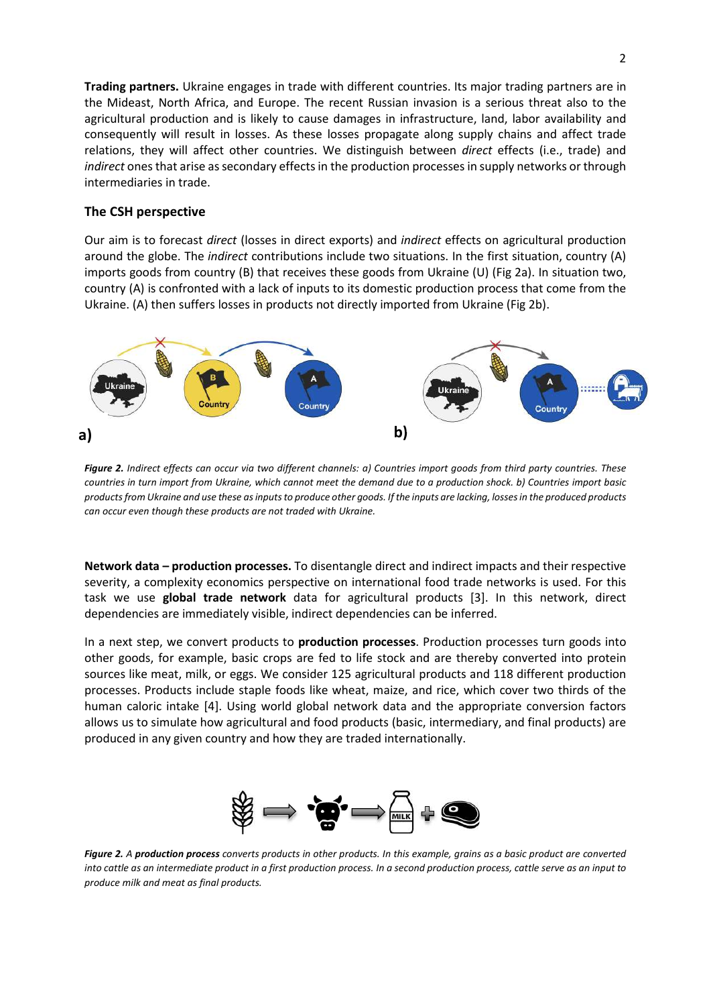Trading partners. Ukraine engages in trade with different countries. Its major trading partners are in the Mideast, North Africa, and Europe. The recent Russian invasion is a serious threat also to the agricultural production and is likely to cause damages in infrastructure, land, labor availability and consequently will result in losses. As these losses propagate along supply chains and affect trade relations, they will affect other countries. We distinguish between direct effects (i.e., trade) and indirect ones that arise as secondary effects in the production processes in supply networks or through intermediaries in trade.

#### The CSH perspective

Our aim is to forecast direct (losses in direct exports) and indirect effects on agricultural production around the globe. The *indirect* contributions include two situations. In the first situation, country (A) imports goods from country (B) that receives these goods from Ukraine (U) (Fig 2a). In situation two, country (A) is confronted with a lack of inputs to its domestic production process that come from the Ukraine. (A) then suffers losses in products not directly imported from Ukraine (Fig 2b).



Figure 2. Indirect effects can occur via two different channels: a) Countries import goods from third party countries. These countries in turn import from Ukraine, which cannot meet the demand due to a production shock. b) Countries import basic products from Ukraine and use these as inputs to produce other goods. If the inputs are lacking, losses in the produced products can occur even though these products are not traded with Ukraine.

Network data – production processes. To disentangle direct and indirect impacts and their respective severity, a complexity economics perspective on international food trade networks is used. For this task we use global trade network data for agricultural products [3]. In this network, direct dependencies are immediately visible, indirect dependencies can be inferred.

In a next step, we convert products to **production processes**. Production processes turn goods into other goods, for example, basic crops are fed to life stock and are thereby converted into protein sources like meat, milk, or eggs. We consider 125 agricultural products and 118 different production processes. Products include staple foods like wheat, maize, and rice, which cover two thirds of the human caloric intake [4]. Using world global network data and the appropriate conversion factors allows us to simulate how agricultural and food products (basic, intermediary, and final products) are produced in any given country and how they are traded internationally.



Figure 2. A production process converts products in other products. In this example, grains as a basic product are converted into cattle as an intermediate product in a first production process. In a second production process, cattle serve as an input to produce milk and meat as final products.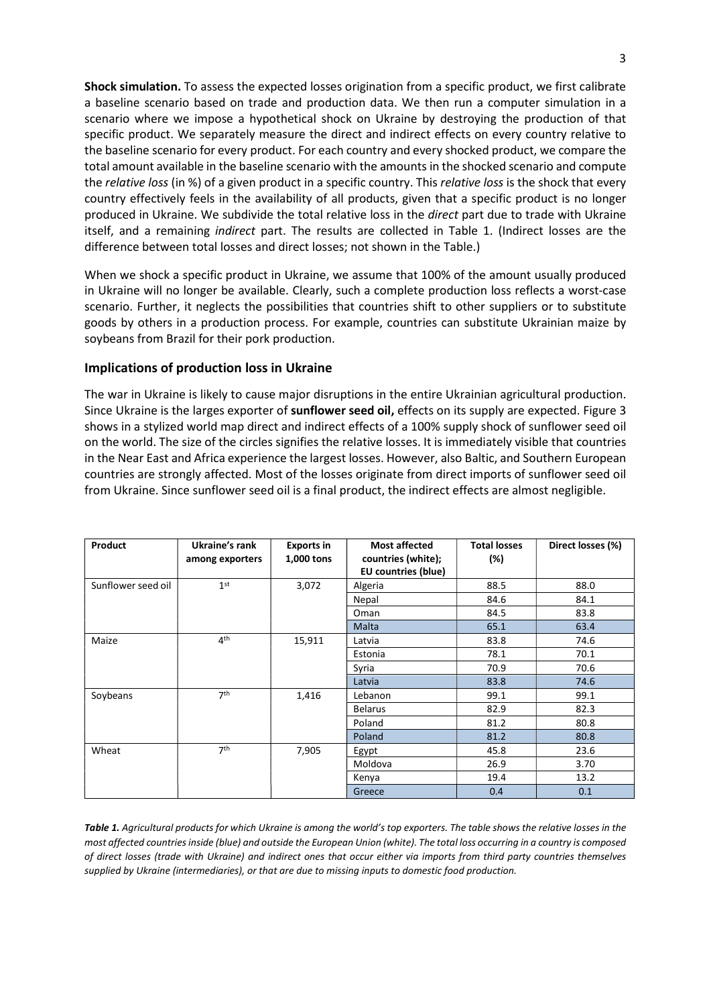Shock simulation. To assess the expected losses origination from a specific product, we first calibrate a baseline scenario based on trade and production data. We then run a computer simulation in a scenario where we impose a hypothetical shock on Ukraine by destroying the production of that specific product. We separately measure the direct and indirect effects on every country relative to the baseline scenario for every product. For each country and every shocked product, we compare the total amount available in the baseline scenario with the amounts in the shocked scenario and compute the *relative loss* (in %) of a given product in a specific country. This *relative loss* is the shock that every country effectively feels in the availability of all products, given that a specific product is no longer produced in Ukraine. We subdivide the total relative loss in the direct part due to trade with Ukraine itself, and a remaining indirect part. The results are collected in Table 1. (Indirect losses are the difference between total losses and direct losses; not shown in the Table.)

When we shock a specific product in Ukraine, we assume that 100% of the amount usually produced in Ukraine will no longer be available. Clearly, such a complete production loss reflects a worst-case scenario. Further, it neglects the possibilities that countries shift to other suppliers or to substitute goods by others in a production process. For example, countries can substitute Ukrainian maize by soybeans from Brazil for their pork production.

## Implications of production loss in Ukraine

The war in Ukraine is likely to cause major disruptions in the entire Ukrainian agricultural production. Since Ukraine is the larges exporter of sunflower seed oil, effects on its supply are expected. Figure 3 shows in a stylized world map direct and indirect effects of a 100% supply shock of sunflower seed oil on the world. The size of the circles signifies the relative losses. It is immediately visible that countries in the Near East and Africa experience the largest losses. However, also Baltic, and Southern European countries are strongly affected. Most of the losses originate from direct imports of sunflower seed oil from Ukraine. Since sunflower seed oil is a final product, the indirect effects are almost negligible.

| Product            | Ukraine's rank<br>among exporters | <b>Exports in</b><br>1,000 tons | <b>Most affected</b><br>countries (white);<br><b>EU countries (blue)</b> | <b>Total losses</b><br>(%) | Direct losses (%) |
|--------------------|-----------------------------------|---------------------------------|--------------------------------------------------------------------------|----------------------------|-------------------|
| Sunflower seed oil | 1 <sup>st</sup>                   | 3,072                           | Algeria                                                                  | 88.5                       | 88.0              |
|                    |                                   |                                 | Nepal                                                                    | 84.6                       | 84.1              |
|                    |                                   |                                 | Oman                                                                     | 84.5                       | 83.8              |
|                    |                                   |                                 | <b>Malta</b>                                                             | 65.1                       | 63.4              |
| Maize              | 4 <sup>th</sup>                   | 15,911                          | Latvia                                                                   | 83.8                       | 74.6              |
|                    |                                   |                                 | Estonia                                                                  | 78.1                       | 70.1              |
|                    |                                   |                                 | Syria                                                                    | 70.9                       | 70.6              |
|                    |                                   |                                 | Latvia                                                                   | 83.8                       | 74.6              |
| Soybeans           | 7 <sup>th</sup>                   | 1,416                           | Lebanon                                                                  | 99.1                       | 99.1              |
|                    |                                   |                                 | <b>Belarus</b>                                                           | 82.9                       | 82.3              |
|                    |                                   |                                 | Poland                                                                   | 81.2                       | 80.8              |
|                    |                                   |                                 | Poland                                                                   | 81.2                       | 80.8              |
| Wheat              | 7 <sup>th</sup>                   | 7,905                           | Egypt                                                                    | 45.8                       | 23.6              |
|                    |                                   |                                 | Moldova                                                                  | 26.9                       | 3.70              |
|                    |                                   |                                 | Kenya                                                                    | 19.4                       | 13.2              |
|                    |                                   |                                 | Greece                                                                   | 0.4                        | 0.1               |

Table 1. Agricultural products for which Ukraine is among the world's top exporters. The table shows the relative losses in the most affected countries inside (blue) and outside the European Union (white). The total loss occurring in a country is composed of direct losses (trade with Ukraine) and indirect ones that occur either via imports from third party countries themselves supplied by Ukraine (intermediaries), or that are due to missing inputs to domestic food production.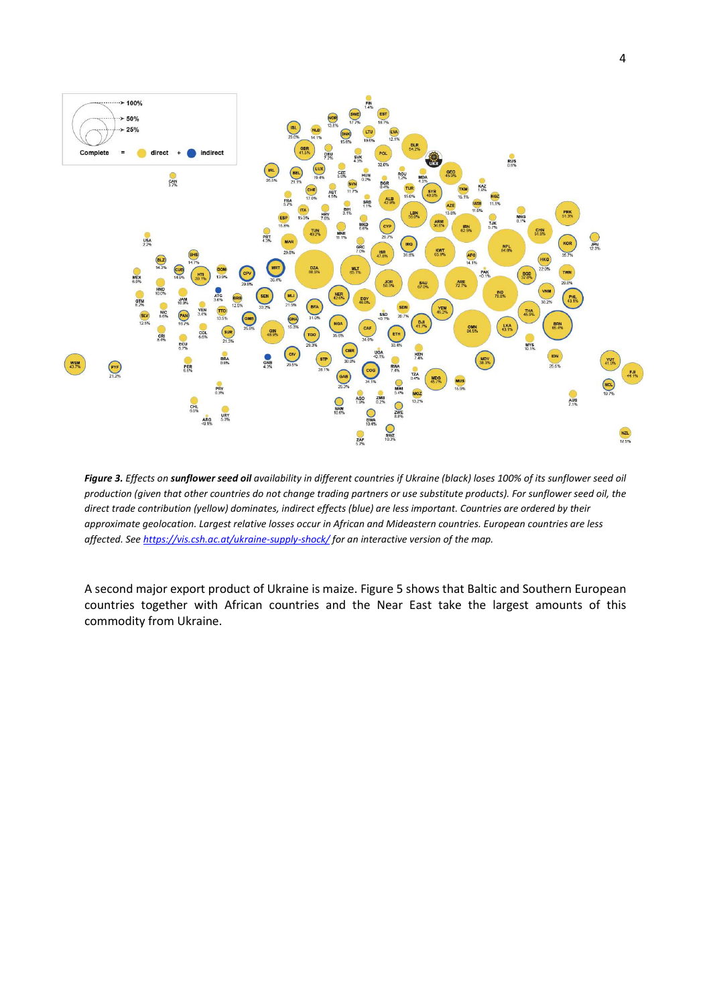

Figure 3. Effects on sunflower seed oil availability in different countries if Ukraine (black) loses 100% of its sunflower seed oil production (given that other countries do not change trading partners or use substitute products). For sunflower seed oil, the direct trade contribution (yellow) dominates, indirect effects (blue) are less important. Countries are ordered by their approximate geolocation. Largest relative losses occur in African and Mideastern countries. European countries are less affected. See https://vis.csh.ac.at/ukraine-supply-shock/for an interactive version of the map.

A second major export product of Ukraine is maize. Figure 5 shows that Baltic and Southern European countries together with African countries and the Near East take the largest amounts of this commodity from Ukraine.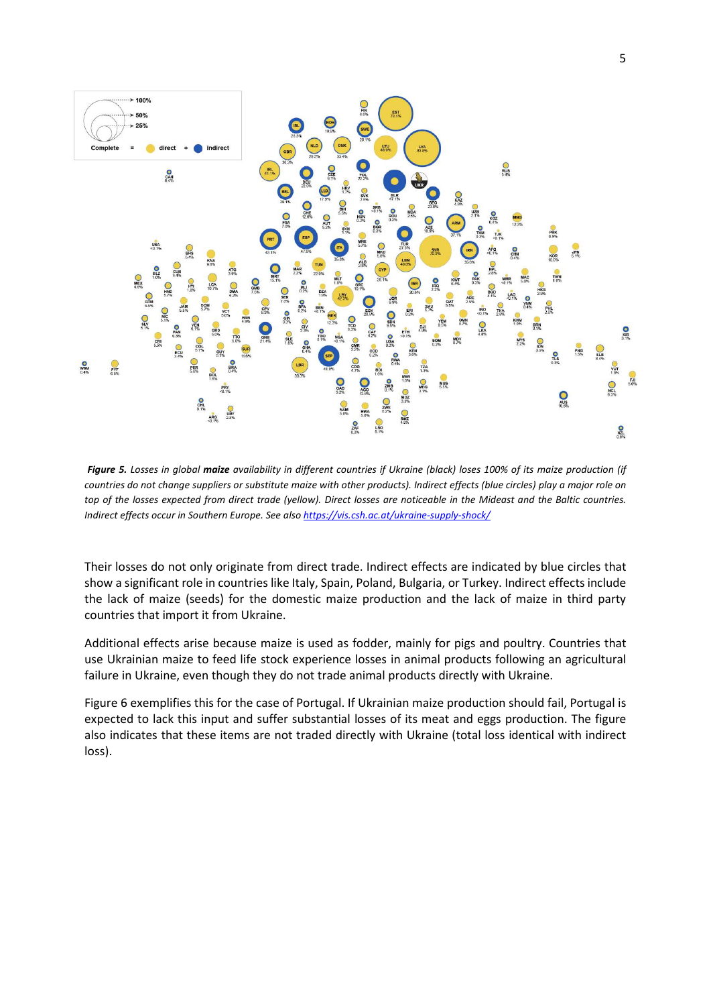

Figure 5. Losses in global maize availability in different countries if Ukraine (black) loses 100% of its maize production (if countries do not change suppliers or substitute maize with other products). Indirect effects (blue circles) play a major role on top of the losses expected from direct trade (yellow). Direct losses are noticeable in the Mideast and the Baltic countries. Indirect effects occur in Southern Europe. See also https://vis.csh.ac.at/ukraine-supply-shock/

Their losses do not only originate from direct trade. Indirect effects are indicated by blue circles that show a significant role in countries like Italy, Spain, Poland, Bulgaria, or Turkey. Indirect effects include the lack of maize (seeds) for the domestic maize production and the lack of maize in third party countries that import it from Ukraine.

Additional effects arise because maize is used as fodder, mainly for pigs and poultry. Countries that use Ukrainian maize to feed life stock experience losses in animal products following an agricultural failure in Ukraine, even though they do not trade animal products directly with Ukraine.

Figure 6 exemplifies this for the case of Portugal. If Ukrainian maize production should fail, Portugal is expected to lack this input and suffer substantial losses of its meat and eggs production. The figure also indicates that these items are not traded directly with Ukraine (total loss identical with indirect loss).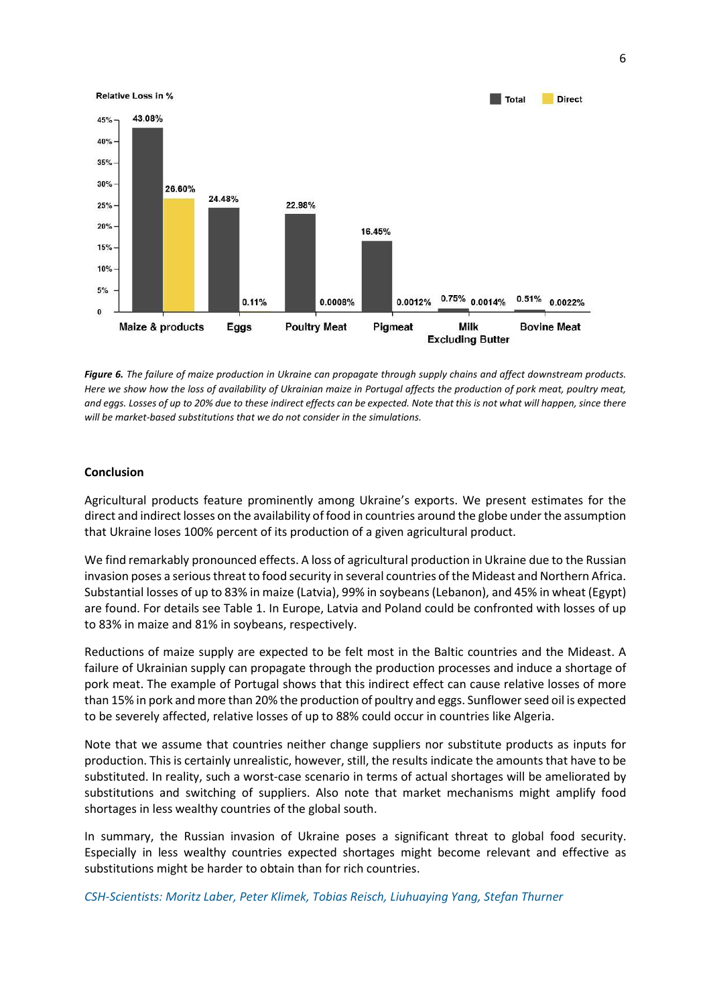

Figure 6. The failure of maize production in Ukraine can propagate through supply chains and affect downstream products. Here we show how the loss of availability of Ukrainian maize in Portugal affects the production of pork meat, poultry meat, and eggs. Losses of up to 20% due to these indirect effects can be expected. Note that this is not what will happen, since there will be market-based substitutions that we do not consider in the simulations.

#### Conclusion

Agricultural products feature prominently among Ukraine's exports. We present estimates for the direct and indirect losses on the availability of food in countries around the globe under the assumption that Ukraine loses 100% percent of its production of a given agricultural product.

We find remarkably pronounced effects. A loss of agricultural production in Ukraine due to the Russian invasion poses a serious threat to food security in several countries of the Mideast and Northern Africa. Substantial losses of up to 83% in maize (Latvia), 99% in soybeans (Lebanon), and 45% in wheat (Egypt) are found. For details see Table 1. In Europe, Latvia and Poland could be confronted with losses of up to 83% in maize and 81% in soybeans, respectively.

Reductions of maize supply are expected to be felt most in the Baltic countries and the Mideast. A failure of Ukrainian supply can propagate through the production processes and induce a shortage of pork meat. The example of Portugal shows that this indirect effect can cause relative losses of more than 15% in pork and more than 20% the production of poultry and eggs. Sunflower seed oil is expected to be severely affected, relative losses of up to 88% could occur in countries like Algeria.

Note that we assume that countries neither change suppliers nor substitute products as inputs for production. This is certainly unrealistic, however, still, the results indicate the amounts that have to be substituted. In reality, such a worst-case scenario in terms of actual shortages will be ameliorated by substitutions and switching of suppliers. Also note that market mechanisms might amplify food shortages in less wealthy countries of the global south.

In summary, the Russian invasion of Ukraine poses a significant threat to global food security. Especially in less wealthy countries expected shortages might become relevant and effective as substitutions might be harder to obtain than for rich countries.

CSH-Scientists: Moritz Laber, Peter Klimek, Tobias Reisch, Liuhuaying Yang, Stefan Thurner